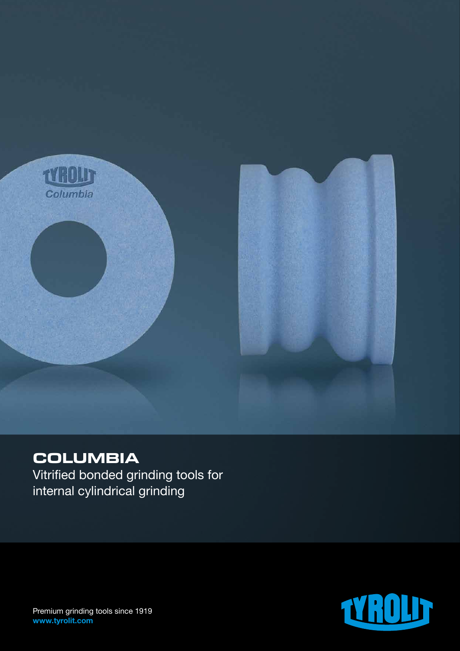

## **COLUMBIA**

Vitrified bonded grinding tools for internal cylindrical grinding



Premium grinding tools since 1919 www.tyrolit.com